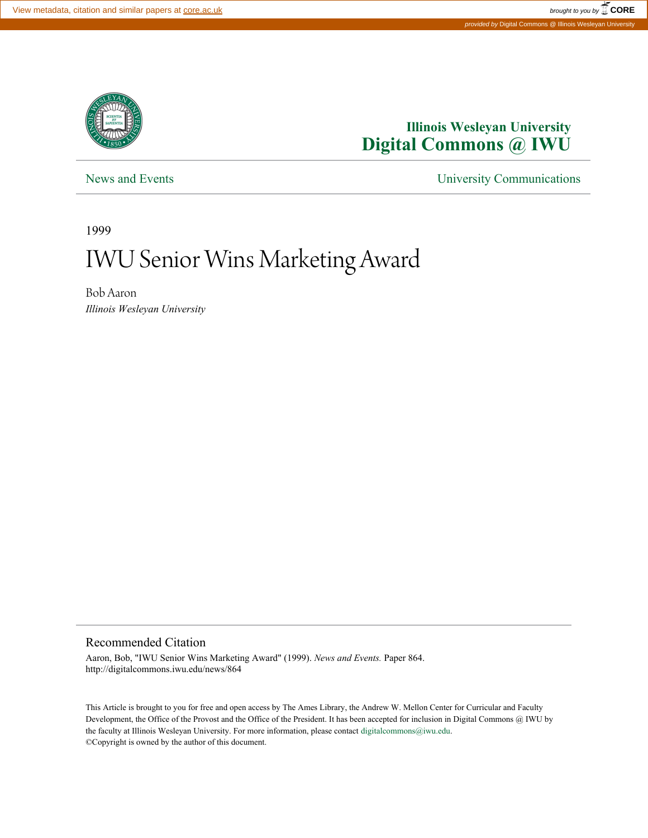

## **Illinois Wesleyan University [Digital Commons @ IWU](http://digitalcommons.iwu.edu)**

[News and Events](http://digitalcommons.iwu.edu/news) **[University Communications](http://digitalcommons.iwu.edu/univcom)** 

1999

## IWU Senior Wins Marketing Award

Bob Aaron *Illinois Wesleyan University*

## Recommended Citation

Aaron, Bob, "IWU Senior Wins Marketing Award" (1999). *News and Events.* Paper 864. http://digitalcommons.iwu.edu/news/864

This Article is brought to you for free and open access by The Ames Library, the Andrew W. Mellon Center for Curricular and Faculty Development, the Office of the Provost and the Office of the President. It has been accepted for inclusion in Digital Commons @ IWU by the faculty at Illinois Wesleyan University. For more information, please contact [digitalcommons@iwu.edu.](mailto:digitalcommons@iwu.edu) ©Copyright is owned by the author of this document.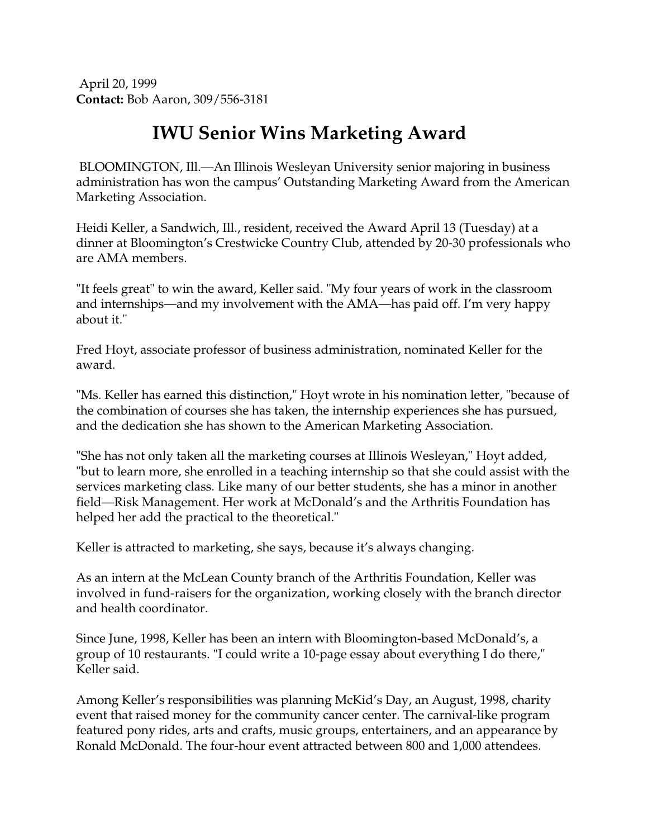April 20, 1999 **Contact:** Bob Aaron, 309/556-3181

## **IWU Senior Wins Marketing Award**

BLOOMINGTON, Ill.—An Illinois Wesleyan University senior majoring in business administration has won the campus' Outstanding Marketing Award from the American Marketing Association.

Heidi Keller, a Sandwich, Ill., resident, received the Award April 13 (Tuesday) at a dinner at Bloomington's Crestwicke Country Club, attended by 20-30 professionals who are AMA members.

"It feels great" to win the award, Keller said. "My four years of work in the classroom and internships—and my involvement with the AMA—has paid off. I'm very happy about it."

Fred Hoyt, associate professor of business administration, nominated Keller for the award.

"Ms. Keller has earned this distinction," Hoyt wrote in his nomination letter, "because of the combination of courses she has taken, the internship experiences she has pursued, and the dedication she has shown to the American Marketing Association.

"She has not only taken all the marketing courses at Illinois Wesleyan," Hoyt added, "but to learn more, she enrolled in a teaching internship so that she could assist with the services marketing class. Like many of our better students, she has a minor in another field—Risk Management. Her work at McDonald's and the Arthritis Foundation has helped her add the practical to the theoretical."

Keller is attracted to marketing, she says, because it's always changing.

As an intern at the McLean County branch of the Arthritis Foundation, Keller was involved in fund-raisers for the organization, working closely with the branch director and health coordinator.

Since June, 1998, Keller has been an intern with Bloomington-based McDonald's, a group of 10 restaurants. "I could write a 10-page essay about everything I do there," Keller said.

Among Keller's responsibilities was planning McKid's Day, an August, 1998, charity event that raised money for the community cancer center. The carnival-like program featured pony rides, arts and crafts, music groups, entertainers, and an appearance by Ronald McDonald. The four-hour event attracted between 800 and 1,000 attendees.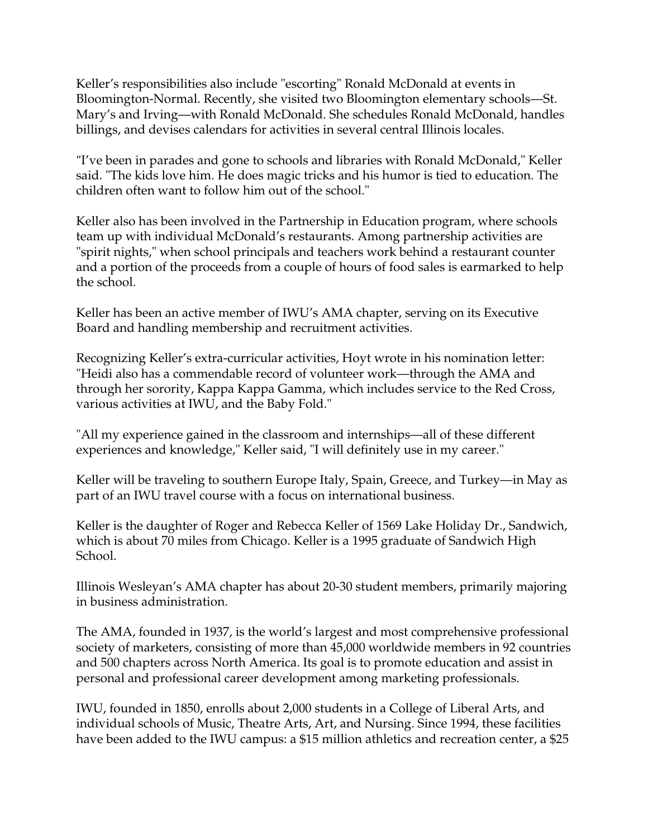Keller's responsibilities also include "escorting" Ronald McDonald at events in Bloomington-Normal. Recently, she visited two Bloomington elementary schools—St. Mary's and Irving—with Ronald McDonald. She schedules Ronald McDonald, handles billings, and devises calendars for activities in several central Illinois locales.

"I've been in parades and gone to schools and libraries with Ronald McDonald," Keller said. "The kids love him. He does magic tricks and his humor is tied to education. The children often want to follow him out of the school."

Keller also has been involved in the Partnership in Education program, where schools team up with individual McDonald's restaurants. Among partnership activities are "spirit nights," when school principals and teachers work behind a restaurant counter and a portion of the proceeds from a couple of hours of food sales is earmarked to help the school.

Keller has been an active member of IWU's AMA chapter, serving on its Executive Board and handling membership and recruitment activities.

Recognizing Keller's extra-curricular activities, Hoyt wrote in his nomination letter: "Heidi also has a commendable record of volunteer work—through the AMA and through her sorority, Kappa Kappa Gamma, which includes service to the Red Cross, various activities at IWU, and the Baby Fold."

"All my experience gained in the classroom and internships—all of these different experiences and knowledge," Keller said, "I will definitely use in my career."

Keller will be traveling to southern Europe Italy, Spain, Greece, and Turkey—in May as part of an IWU travel course with a focus on international business.

Keller is the daughter of Roger and Rebecca Keller of 1569 Lake Holiday Dr., Sandwich, which is about 70 miles from Chicago. Keller is a 1995 graduate of Sandwich High School.

Illinois Wesleyan's AMA chapter has about 20-30 student members, primarily majoring in business administration.

The AMA, founded in 1937, is the world's largest and most comprehensive professional society of marketers, consisting of more than 45,000 worldwide members in 92 countries and 500 chapters across North America. Its goal is to promote education and assist in personal and professional career development among marketing professionals.

IWU, founded in 1850, enrolls about 2,000 students in a College of Liberal Arts, and individual schools of Music, Theatre Arts, Art, and Nursing. Since 1994, these facilities have been added to the IWU campus: a \$15 million athletics and recreation center, a \$25